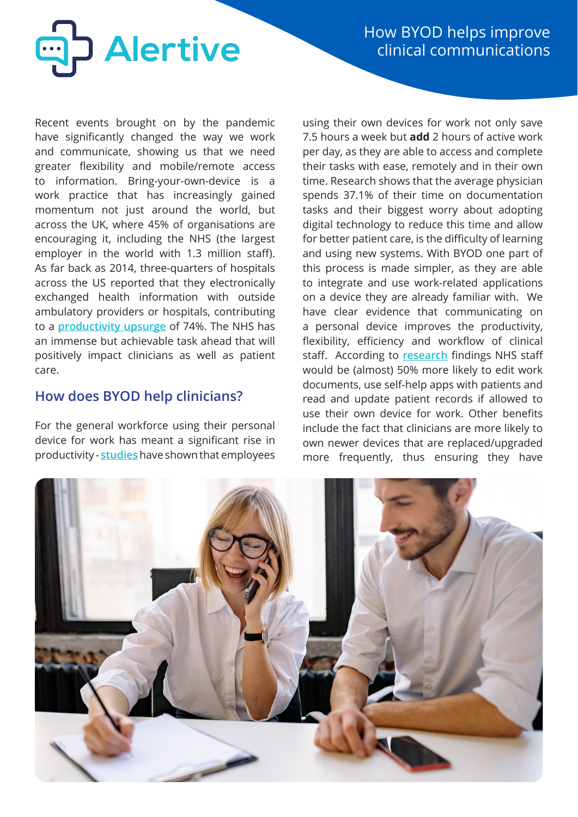

How BYOD helps improve clinical communications

Recent events brought on by the pandemic have significantly changed the way we work and communicate, showing us that we need greater flexibility and mobile/remote access to information. Bring-your-own-device is a work practice that has increasingly gained momentum not just around the world, but across the UK, where 45% of organisations are encouraging it, including the NHS (the largest employer in the world with 1.3 million staff). As far back as 2014, three-quarters of hospitals across the US reported that they electronically exchanged health information with outside ambulatory providers or hospitals, contributing to a **[productivity upsurge](https://i.dell.com/sites/doccontent/business/solutions/whitepapers/en/Documents/dell-why-byod-white-paper.pdf?utm_source=blog&utm_medium=BYOD%20in%20Healthcare%3A%20Benefits%2C%20Challenges%2C%20Solutions%20%7C%20Scalefusion%20Blog&utm_campaign=Scalefusion%20Blog)** of 74%. The NHS has an immense but achievable task ahead that will positively impact clinicians as well as patient care.

# **How does BYOD help clinicians?**

For the general workforce using their personal device for work has meant a significant rise in productivity - **[studies](https://techjury.net/blog/byod/#gref)** have shown that employees

using their own devices for work not only save 7.5 hours a week but **add** 2 hours of active work per day, as they are able to access and complete their tasks with ease, remotely and in their own time. Research shows that the average physician spends 37.1% of their time on documentation tasks and their biggest worry about adopting digital technology to reduce this time and allow for better patient care, is the difficulty of learning and using new systems. With BYOD one part of this process is made simpler, as they are able to integrate and use work-related applications on a device they are already familiar with. We have clear evidence that communicating on a personal device improves the productivity, flexibility, efficiency and workflow of clinical staff. According to **[research](http://eprints.glos.ac.uk/8924/1/An%20Implementation%20Strategy%20for%20Bring%20Your%20Own%20Device%20in%20the%20NHS.pdf)** findings NHS staff would be (almost) 50% more likely to edit work documents, use self-help apps with patients and read and update patient records if allowed to use their own device for work. Other benefits include the fact that clinicians are more likely to own newer devices that are replaced/upgraded more frequently, thus ensuring they have

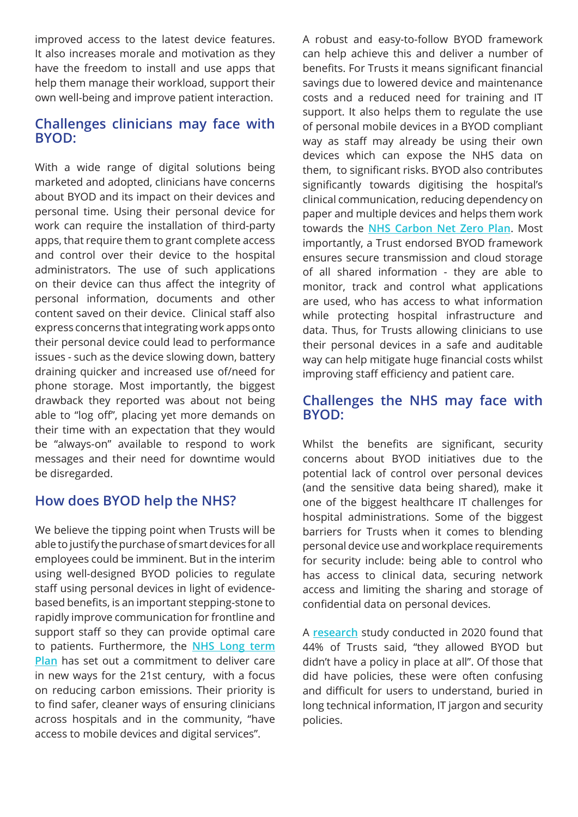improved access to the latest device features. It also increases morale and motivation as they have the freedom to install and use apps that help them manage their workload, support their own well-being and improve patient interaction.

## **Challenges clinicians may face with BYOD:**

With a wide range of digital solutions being marketed and adopted, clinicians have concerns about BYOD and its impact on their devices and personal time. Using their personal device for work can require the installation of third-party apps, that require them to grant complete access and control over their device to the hospital administrators. The use of such applications on their device can thus affect the integrity of personal information, documents and other content saved on their device. Clinical staff also express concerns that integrating work apps onto their personal device could lead to performance issues - such as the device slowing down, battery draining quicker and increased use of/need for phone storage. Most importantly, the biggest drawback they reported was about not being able to "log off", placing yet more demands on their time with an expectation that they would be "always-on" available to respond to work messages and their need for downtime would be disregarded.

# **How does BYOD help the NHS?**

We believe the tipping point when Trusts will be able to justify the purchase of smart devices for all employees could be imminent. But in the interim using well-designed BYOD policies to regulate staff using personal devices in light of evidencebased benefits, is an important stepping-stone to rapidly improve communication for frontline and support staff so they can provide optimal care to patients. Furthermore, the **[NHS Long term](https://www.longtermplan.nhs.uk/wp-content/uploads/2019/01/nhs-long-term-plan-june-2019.pdf) [Plan](https://www.longtermplan.nhs.uk/wp-content/uploads/2019/01/nhs-long-term-plan-june-2019.pdf)** has set out a commitment to deliver care in new ways for the 21st century, with a focus on reducing carbon emissions. Their priority is to find safer, cleaner ways of ensuring clinicians across hospitals and in the community, "have access to mobile devices and digital services".

A robust and easy-to-follow BYOD framework can help achieve this and deliver a number of benefits. For Trusts it means significant financial savings due to lowered device and maintenance costs and a reduced need for training and IT support. It also helps them to regulate the use of personal mobile devices in a BYOD compliant way as staff may already be using their own devices which can expose the NHS data on them, to significant risks. BYOD also contributes significantly towards digitising the hospital's clinical communication, reducing dependency on paper and multiple devices and helps them work towards the **[NHS Carbon Net Zero Plan](https://www.england.nhs.uk/greenernhs/a-net-zero-nhs/)**. Most importantly, a Trust endorsed BYOD framework ensures secure transmission and cloud storage of all shared information - they are able to monitor, track and control what applications are used, who has access to what information while protecting hospital infrastructure and data. Thus, for Trusts allowing clinicians to use their personal devices in a safe and auditable way can help mitigate huge financial costs whilst improving staff efficiency and patient care.

#### **Challenges the NHS may face with BYOD:**

Whilst the benefits are significant, security concerns about BYOD initiatives due to the potential lack of control over personal devices (and the sensitive data being shared), make it one of the biggest healthcare IT challenges for hospital administrations. Some of the biggest barriers for Trusts when it comes to blending personal device use and workplace requirements for security include: being able to control who has access to clinical data, securing network access and limiting the sharing and storage of confidential data on personal devices.

A **[research](https://digitalculture.uk/blog/bring-your-own-device-more-important-now-than-ever/)** study conducted in 2020 found that 44% of Trusts said, "they allowed BYOD but didn't have a policy in place at all". Of those that did have policies, these were often confusing and difficult for users to understand, buried in long technical information, IT jargon and security policies.